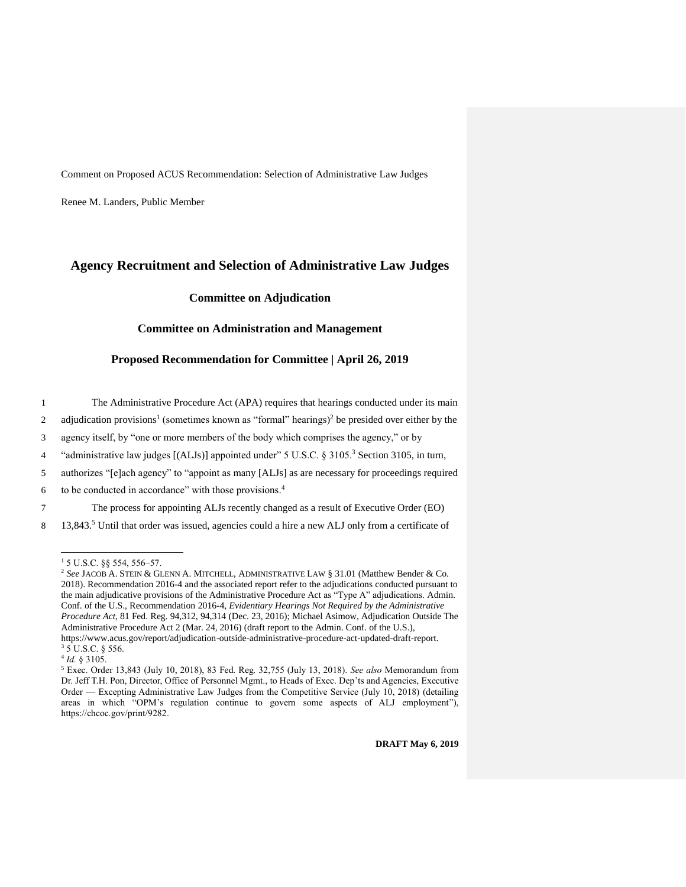Comment on Proposed ACUS Recommendation: Selection of Administrative Law Judges

Renee M. Landers, Public Member

# **Agency Recruitment and Selection of Administrative Law Judges**

**Committee on Adjudication**

## **Committee on Administration and Management**

#### **Proposed Recommendation for Committee | April 26, 2019**

1 The Administrative Procedure Act (APA) requires that hearings conducted under its main

2 adjudication provisions<sup>1</sup> (sometimes known as "formal" hearings)<sup>2</sup> be presided over either by the

3 agency itself, by "one or more members of the body which comprises the agency," or by

<sup>4</sup> "administrative law judges [(ALJs)] appointed under" 5 U.S.C. § 3105.<sup>3</sup> Section 3105, in turn,

5 authorizes "[e]ach agency" to "appoint as many [ALJs] as are necessary for proceedings required

6 to be conducted in accordance" with those provisions. $4$ 

7 The process for appointing ALJs recently changed as a result of Executive Order (EO)

8 13,843.<sup>5</sup> Until that order was issued, agencies could a hire a new ALJ only from a certificate of

 $\overline{a}$ 

 $15$  U.S.C. §§ 554, 556–57.

<sup>2</sup> *See* JACOB A. STEIN & GLENN A. MITCHELL, ADMINISTRATIVE LAW § 31.01 (Matthew Bender & Co. 2018). Recommendation 2016-4 and the associated report refer to the adjudications conducted pursuant to the main adjudicative provisions of the Administrative Procedure Act as "Type A" adjudications. Admin. Conf. of the U.S., Recommendation 2016-4, *Evidentiary Hearings Not Required by the Administrative Procedure Act*, 81 Fed. Reg. 94,312, 94,314 (Dec. 23, 2016); Michael Asimow, Adjudication Outside The Administrative Procedure Act 2 (Mar. 24, 2016) (draft report to the Admin. Conf. of the U.S.), https://www.acus.gov/report/adjudication-outside-administrative-procedure-act-updated-draft-report.  $3$  5 U.S.C. § 556.

<sup>4</sup> *Id.* § 3105.

<sup>5</sup> Exec. Order 13,843 (July 10, 2018), 83 Fed. Reg. 32,755 (July 13, 2018). *See also* Memorandum from Dr. Jeff T.H. Pon, Director, Office of Personnel Mgmt., to Heads of Exec. Dep'ts and Agencies, Executive Order — Excepting Administrative Law Judges from the Competitive Service (July 10, 2018) (detailing areas in which "OPM's regulation continue to govern some aspects of ALJ employment"), https://chcoc.gov/print/9282.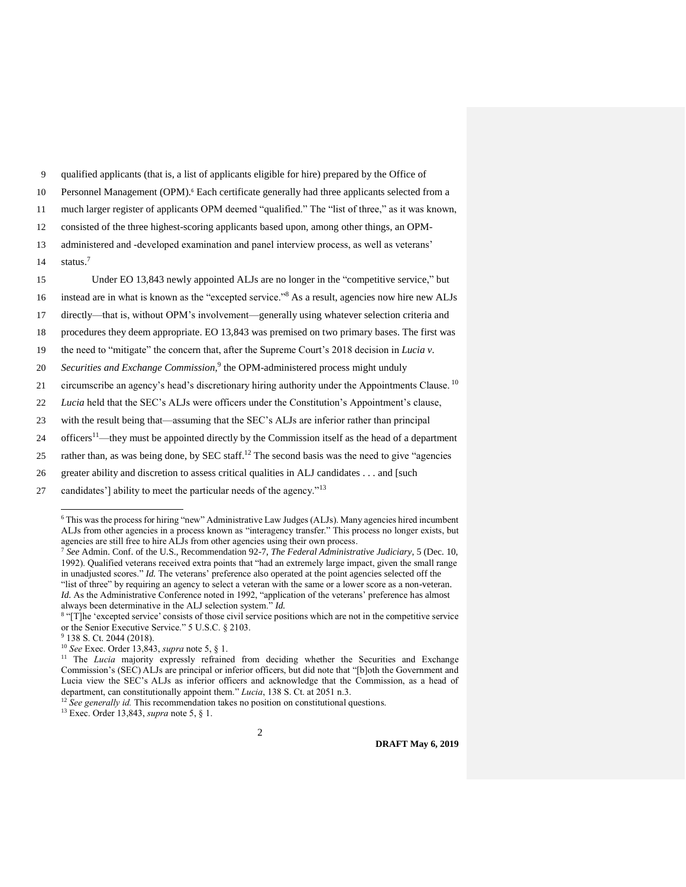9 qualified applicants (that is, a list of applicants eligible for hire) prepared by the Office of

10 Personnel Management (OPM).<sup>6</sup> Each certificate generally had three applicants selected from a

11 much larger register of applicants OPM deemed "qualified." The "list of three," as it was known,

12 consisted of the three highest-scoring applicants based upon, among other things, an OPM-

13 administered and -developed examination and panel interview process, as well as veterans' status.<sup>7</sup> 14

15 Under EO 13,843 newly appointed ALJs are no longer in the "competitive service," but

16 instead are in what is known as the "excepted service."<sup>8</sup> As a result, agencies now hire new ALJs

17 directly—that is, without OPM's involvement—generally using whatever selection criteria and

18 procedures they deem appropriate. EO 13,843 was premised on two primary bases. The first was

19 the need to "mitigate" the concern that, after the Supreme Court's 2018 decision in *Lucia v.* 

20 Securities and Exchange Commission,<sup>9</sup> the OPM-administered process might unduly

21 circumscribe an agency's head's discretionary hiring authority under the Appointments Clause.<sup>10</sup>

22 *Lucia* held that the SEC's ALJs were officers under the Constitution's Appointment's clause,

23 with the result being that—assuming that the SEC's ALJs are inferior rather than principal

24 officers<sup>11</sup>—they must be appointed directly by the Commission itself as the head of a department

25 rather than, as was being done, by SEC staff.<sup>12</sup> The second basis was the need to give "agencies"

26 greater ability and discretion to assess critical qualities in ALJ candidates . . . and [such

27 candidates'] ability to meet the particular needs of the agency."<sup>13</sup>

*Id.* As the Administrative Conference noted in 1992, "application of the veterans' preference has almost always been determinative in the ALJ selection system." *Id.* 

j

<sup>10</sup> *See* Exec. Order 13,843, *supra* note 5, § 1.

<sup>12</sup> See generally id. This recommendation takes no position on constitutional questions.

<sup>13</sup> Exec. Order 13,843, *supra* note 5, § 1.

2

**DRAFT May 6, 2019**

<sup>6</sup> This was the process for hiring "new" Administrative Law Judges (ALJs). Many agencies hired incumbent ALJs from other agencies in a process known as "interagency transfer." This process no longer exists, but agencies are still free to hire ALJs from other agencies using their own process.

<sup>7</sup> *See* Admin. Conf. of the U.S., Recommendation 92-7, *The Federal Administrative Judiciary*, 5 (Dec. 10, 1992). Qualified veterans received extra points that "had an extremely large impact, given the small range in unadjusted scores." *Id.* The veterans' preference also operated at the point agencies selected off the "list of three" by requiring an agency to select a veteran with the same or a lower score as a non-veteran.

<sup>&</sup>lt;sup>8</sup> "[T]he 'excepted service' consists of those civil service positions which are not in the competitive service or the Senior Executive Service." 5 U.S.C. § 2103.

<sup>9</sup> 138 S. Ct. 2044 (2018).

<sup>&</sup>lt;sup>11</sup> The *Lucia* majority expressly refrained from deciding whether the Securities and Exchange Commission's (SEC) ALJs are principal or inferior officers, but did note that "[b]oth the Government and Lucia view the SEC's ALJs as inferior officers and acknowledge that the Commission, as a head of department, can constitutionally appoint them." *Lucia*, 138 S. Ct. at 2051 n.3.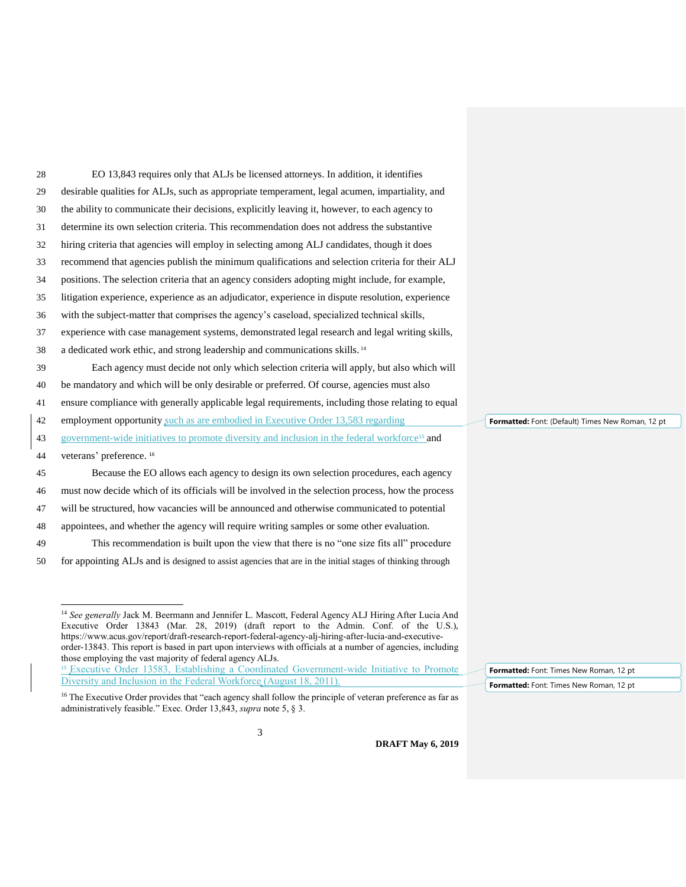| 28 | EO 13,843 requires only that ALJs be licensed attorneys. In addition, it identifies                       |  |
|----|-----------------------------------------------------------------------------------------------------------|--|
| 29 | desirable qualities for ALJs, such as appropriate temperament, legal acumen, impartiality, and            |  |
| 30 | the ability to communicate their decisions, explicitly leaving it, however, to each agency to             |  |
| 31 | determine its own selection criteria. This recommendation does not address the substantive                |  |
| 32 | hiring criteria that agencies will employ in selecting among ALJ candidates, though it does               |  |
| 33 | recommend that agencies publish the minimum qualifications and selection criteria for their ALJ           |  |
| 34 | positions. The selection criteria that an agency considers adopting might include, for example,           |  |
| 35 | litigation experience, experience as an adjudicator, experience in dispute resolution, experience         |  |
| 36 | with the subject-matter that comprises the agency's caseload, specialized technical skills,               |  |
| 37 | experience with case management systems, demonstrated legal research and legal writing skills,            |  |
| 38 | a dedicated work ethic, and strong leadership and communications skills. <sup>14</sup>                    |  |
| 39 | Each agency must decide not only which selection criteria will apply, but also which will                 |  |
| 40 | be mandatory and which will be only desirable or preferred. Of course, agencies must also                 |  |
| 41 | ensure compliance with generally applicable legal requirements, including those relating to equal         |  |
| 42 | employment opportunity such as are embodied in Executive Order 13,583 regarding                           |  |
| 43 | government-wide initiatives to promote diversity and inclusion in the federal workforce <sup>15</sup> and |  |
| 44 | veterans' preference. <sup>16</sup>                                                                       |  |
| 45 | Because the EO allows each agency to design its own selection procedures, each agency                     |  |
| 46 | must now decide which of its officials will be involved in the selection process, how the process         |  |
| 47 | will be structured, how vacancies will be announced and otherwise communicated to potential               |  |
| 48 | appointees, and whether the agency will require writing samples or some other evaluation.                 |  |
| 49 | This recommendation is built upon the view that there is no "one size fits all" procedure                 |  |
|    |                                                                                                           |  |

50 for appointing ALJs and is designed to assist agencies that are in the initial stages of thinking through

 $\overline{a}$ <sup>14</sup> *See generally* Jack M. Beermann and Jennifer L. Mascott, Federal Agency ALJ Hiring After Lucia And Executive Order 13843 (Mar. 28, 2019) (draft report to the Admin. Conf. of the U.S.), https://www.acus.gov/report/draft-research-report-federal-agency-alj-hiring-after-lucia-and-executiveorder-13843. This report is based in part upon interviews with officials at a number of agencies, including those employing the vast majority of federal agency ALJs.

**Formatted:** Font: (Default) Times New Roman, 12 pt

**Formatted:** Font: Times New Roman, 12 pt **Formatted:** Font: Times New Roman, 12 pt

<sup>&</sup>lt;sup>15</sup> Executive Order 13583, Establishing a Coordinated Government-wide Initiative to Promote Diversity and Inclusion in the Federal Workforce (August 18, 2011).

<sup>&</sup>lt;sup>16</sup> The Executive Order provides that "each agency shall follow the principle of veteran preference as far as administratively feasible." Exec. Order 13,843, *supra* note 5, § 3.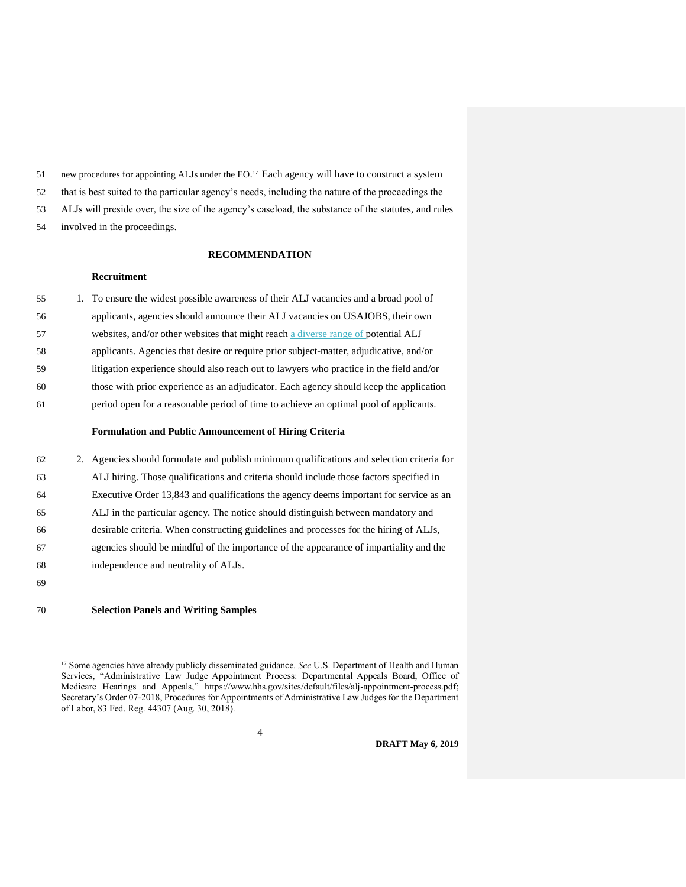51 new procedures for appointing ALJs under the EO.<sup>17</sup> Each agency will have to construct a system

that is best suited to the particular agency's needs, including the nature of the proceedings the

ALJs will preside over, the size of the agency's caseload, the substance of the statutes, and rules

involved in the proceedings.

#### **RECOMMENDATION**

# **Recruitment**

| 55 | 1. To ensure the widest possible awareness of their ALJ vacancies and a broad pool of   |
|----|-----------------------------------------------------------------------------------------|
| 56 | applicants, agencies should announce their ALJ vacancies on USAJOBS, their own          |
| 57 | websites, and/or other websites that might reach a diverse range of potential ALJ       |
| 58 | applicants. Agencies that desire or require prior subject-matter, adjudicative, and/or  |
| 59 | litigation experience should also reach out to lawyers who practice in the field and/or |
| 60 | those with prior experience as an adjudicator. Each agency should keep the application  |
| 61 | period open for a reasonable period of time to achieve an optimal pool of applicants.   |
|    |                                                                                         |

### **Formulation and Public Announcement of Hiring Criteria**

| 62 | 2. Agencies should formulate and publish minimum qualifications and selection criteria for |
|----|--------------------------------------------------------------------------------------------|
| 63 | ALJ hiring. Those qualifications and criteria should include those factors specified in    |
| 64 | Executive Order 13,843 and qualifications the agency deems important for service as an     |
| 65 | ALJ in the particular agency. The notice should distinguish between mandatory and          |
| 66 | desirable criteria. When constructing guidelines and processes for the hiring of ALJs,     |
| 67 | agencies should be mindful of the importance of the appearance of impartiality and the     |
| 68 | independence and neutrality of ALJs.                                                       |
| 69 |                                                                                            |

### **Selection Panels and Writing Samples**

 $\overline{a}$ 

**DRAFT May 6, 2019**

 Some agencies have already publicly disseminated guidance. *See* U.S. Department of Health and Human Services, "Administrative Law Judge Appointment Process: Departmental Appeals Board, Office of Medicare Hearings and Appeals," https://www.hhs.gov/sites/default/files/alj-appointment-process.pdf; Secretary's Order 07-2018, Procedures for Appointments of Administrative Law Judges for the Department of Labor, 83 Fed. Reg. 44307 (Aug. 30, 2018).